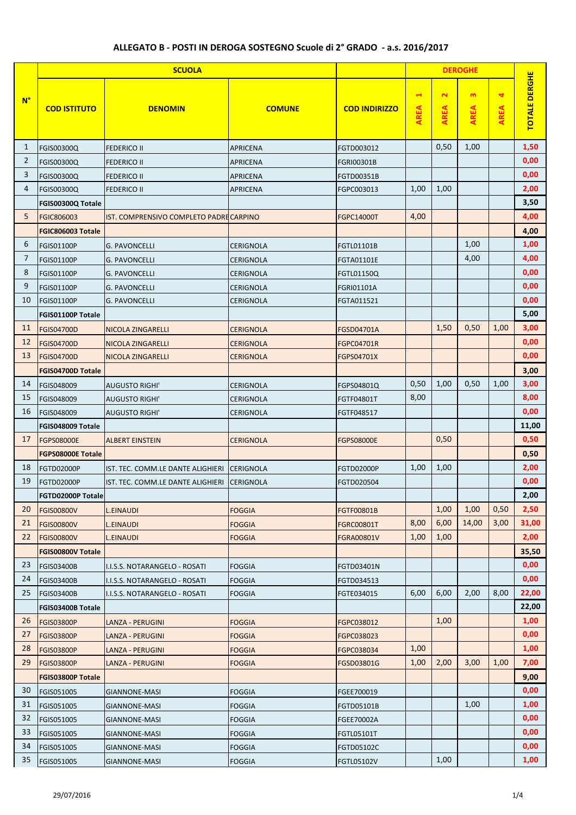## **ALLEGATO B - POSTI IN DEROGA SOSTEGNO Scuole di 2° GRADO - a.s. 2016/2017**

| $\mathbf{\tilde{z}}$<br>$\mathbf{c}$<br>4<br>$\blacktriangleleft$<br>$N^{\circ}$<br><b>AREA</b><br><b>AREA</b><br><b>AREA</b><br><b>AREA</b><br><b>COD ISTITUTO</b><br><b>DENOMIN</b><br><b>COMUNE</b><br><b>COD INDIRIZZO</b><br>0,50<br>1,00<br>1,50<br>1<br>FGIS00300Q<br><b>FEDERICO II</b><br><b>APRICENA</b><br>FGTD003012<br>$\overline{2}$<br>0,00<br>FGIS00300Q<br><b>FEDERICO II</b><br><b>APRICENA</b><br>FGRI00301B<br>3<br>0,00<br>APRICENA<br>FGIS00300Q<br><b>FEDERICO II</b><br>FGTD00351B<br>2,00<br>4<br>1,00<br>1,00<br>FGIS00300Q<br><b>FEDERICO II</b><br><b>APRICENA</b><br>FGPC003013<br>3,50<br>FGIS00300Q Totale<br>5<br>4,00<br>4,00<br>FGIC806003<br>IST. COMPRENSIVO COMPLETO PADRECARPINO<br>FGPC14000T<br>4,00<br>FGIC806003 Totale<br>6<br>1,00<br>1,00<br>FGIS01100P<br><b>G. PAVONCELLI</b><br><b>CERIGNOLA</b><br>FGTL01101B<br>7<br>4,00<br>4,00<br><b>FGIS01100P</b><br><b>G. PAVONCELLI</b><br><b>CERIGNOLA</b><br>FGTA01101E<br>8<br>0,00<br>FGIS01100P<br><b>G. PAVONCELLI</b><br><b>CERIGNOLA</b><br>FGTL01150Q<br>9<br>0,00<br><b>FGIS01100P</b><br><b>G. PAVONCELLI</b><br><b>CERIGNOLA</b><br>FGRI01101A<br>0,00<br>10<br>FGIS01100P<br><b>G. PAVONCELLI</b><br><b>CERIGNOLA</b><br>FGTA011521<br>5,00<br>FGIS01100P Totale<br>11<br>1,50<br>0,50<br>1,00<br>3,00<br><b>FGIS04700D</b><br><b>NICOLA ZINGARELLI</b><br><b>CERIGNOLA</b><br>FGSD04701A<br>0,00<br>12<br><b>FGIS04700D</b><br><b>CERIGNOLA</b><br>NICOLA ZINGARELLI<br><b>FGPC04701R</b><br>0,00<br>13<br><b>FGIS04700D</b><br>NICOLA ZINGARELLI<br><b>CERIGNOLA</b><br>FGPS04701X<br>3,00<br>FGIS04700D Totale<br>0,50<br>1,00<br>0,50<br>1,00<br>3,00<br>14<br>FGIS048009<br>AUGUSTO RIGHI'<br><b>CERIGNOLA</b><br>FGPS04801Q<br>8,00<br>15<br>8,00<br>FGIS048009<br><b>AUGUSTO RIGHI'</b><br><b>CERIGNOLA</b><br>FGTF04801T<br>0,00<br>16<br>FGIS048009<br><b>CERIGNOLA</b><br>FGTF048517<br><b>AUGUSTO RIGHI'</b><br>FGIS048009 Totale |    |                   | <b>SCUOLA</b>          |                  |                   |      | <b>DEROGHE</b> |                      |
|----------------------------------------------------------------------------------------------------------------------------------------------------------------------------------------------------------------------------------------------------------------------------------------------------------------------------------------------------------------------------------------------------------------------------------------------------------------------------------------------------------------------------------------------------------------------------------------------------------------------------------------------------------------------------------------------------------------------------------------------------------------------------------------------------------------------------------------------------------------------------------------------------------------------------------------------------------------------------------------------------------------------------------------------------------------------------------------------------------------------------------------------------------------------------------------------------------------------------------------------------------------------------------------------------------------------------------------------------------------------------------------------------------------------------------------------------------------------------------------------------------------------------------------------------------------------------------------------------------------------------------------------------------------------------------------------------------------------------------------------------------------------------------------------------------------------------------------------------------------------------------------------------------------------------------------------------|----|-------------------|------------------------|------------------|-------------------|------|----------------|----------------------|
|                                                                                                                                                                                                                                                                                                                                                                                                                                                                                                                                                                                                                                                                                                                                                                                                                                                                                                                                                                                                                                                                                                                                                                                                                                                                                                                                                                                                                                                                                                                                                                                                                                                                                                                                                                                                                                                                                                                                                    |    |                   |                        |                  |                   |      |                | <b>TOTALE DERGHE</b> |
|                                                                                                                                                                                                                                                                                                                                                                                                                                                                                                                                                                                                                                                                                                                                                                                                                                                                                                                                                                                                                                                                                                                                                                                                                                                                                                                                                                                                                                                                                                                                                                                                                                                                                                                                                                                                                                                                                                                                                    |    |                   |                        |                  |                   |      |                |                      |
|                                                                                                                                                                                                                                                                                                                                                                                                                                                                                                                                                                                                                                                                                                                                                                                                                                                                                                                                                                                                                                                                                                                                                                                                                                                                                                                                                                                                                                                                                                                                                                                                                                                                                                                                                                                                                                                                                                                                                    |    |                   |                        |                  |                   |      |                |                      |
|                                                                                                                                                                                                                                                                                                                                                                                                                                                                                                                                                                                                                                                                                                                                                                                                                                                                                                                                                                                                                                                                                                                                                                                                                                                                                                                                                                                                                                                                                                                                                                                                                                                                                                                                                                                                                                                                                                                                                    |    |                   |                        |                  |                   |      |                |                      |
|                                                                                                                                                                                                                                                                                                                                                                                                                                                                                                                                                                                                                                                                                                                                                                                                                                                                                                                                                                                                                                                                                                                                                                                                                                                                                                                                                                                                                                                                                                                                                                                                                                                                                                                                                                                                                                                                                                                                                    |    |                   |                        |                  |                   |      |                |                      |
|                                                                                                                                                                                                                                                                                                                                                                                                                                                                                                                                                                                                                                                                                                                                                                                                                                                                                                                                                                                                                                                                                                                                                                                                                                                                                                                                                                                                                                                                                                                                                                                                                                                                                                                                                                                                                                                                                                                                                    |    |                   |                        |                  |                   |      |                |                      |
|                                                                                                                                                                                                                                                                                                                                                                                                                                                                                                                                                                                                                                                                                                                                                                                                                                                                                                                                                                                                                                                                                                                                                                                                                                                                                                                                                                                                                                                                                                                                                                                                                                                                                                                                                                                                                                                                                                                                                    |    |                   |                        |                  |                   |      |                |                      |
|                                                                                                                                                                                                                                                                                                                                                                                                                                                                                                                                                                                                                                                                                                                                                                                                                                                                                                                                                                                                                                                                                                                                                                                                                                                                                                                                                                                                                                                                                                                                                                                                                                                                                                                                                                                                                                                                                                                                                    |    |                   |                        |                  |                   |      |                |                      |
|                                                                                                                                                                                                                                                                                                                                                                                                                                                                                                                                                                                                                                                                                                                                                                                                                                                                                                                                                                                                                                                                                                                                                                                                                                                                                                                                                                                                                                                                                                                                                                                                                                                                                                                                                                                                                                                                                                                                                    |    |                   |                        |                  |                   |      |                |                      |
|                                                                                                                                                                                                                                                                                                                                                                                                                                                                                                                                                                                                                                                                                                                                                                                                                                                                                                                                                                                                                                                                                                                                                                                                                                                                                                                                                                                                                                                                                                                                                                                                                                                                                                                                                                                                                                                                                                                                                    |    |                   |                        |                  |                   |      |                |                      |
|                                                                                                                                                                                                                                                                                                                                                                                                                                                                                                                                                                                                                                                                                                                                                                                                                                                                                                                                                                                                                                                                                                                                                                                                                                                                                                                                                                                                                                                                                                                                                                                                                                                                                                                                                                                                                                                                                                                                                    |    |                   |                        |                  |                   |      |                |                      |
|                                                                                                                                                                                                                                                                                                                                                                                                                                                                                                                                                                                                                                                                                                                                                                                                                                                                                                                                                                                                                                                                                                                                                                                                                                                                                                                                                                                                                                                                                                                                                                                                                                                                                                                                                                                                                                                                                                                                                    |    |                   |                        |                  |                   |      |                |                      |
|                                                                                                                                                                                                                                                                                                                                                                                                                                                                                                                                                                                                                                                                                                                                                                                                                                                                                                                                                                                                                                                                                                                                                                                                                                                                                                                                                                                                                                                                                                                                                                                                                                                                                                                                                                                                                                                                                                                                                    |    |                   |                        |                  |                   |      |                |                      |
|                                                                                                                                                                                                                                                                                                                                                                                                                                                                                                                                                                                                                                                                                                                                                                                                                                                                                                                                                                                                                                                                                                                                                                                                                                                                                                                                                                                                                                                                                                                                                                                                                                                                                                                                                                                                                                                                                                                                                    |    |                   |                        |                  |                   |      |                |                      |
|                                                                                                                                                                                                                                                                                                                                                                                                                                                                                                                                                                                                                                                                                                                                                                                                                                                                                                                                                                                                                                                                                                                                                                                                                                                                                                                                                                                                                                                                                                                                                                                                                                                                                                                                                                                                                                                                                                                                                    |    |                   |                        |                  |                   |      |                |                      |
|                                                                                                                                                                                                                                                                                                                                                                                                                                                                                                                                                                                                                                                                                                                                                                                                                                                                                                                                                                                                                                                                                                                                                                                                                                                                                                                                                                                                                                                                                                                                                                                                                                                                                                                                                                                                                                                                                                                                                    |    |                   |                        |                  |                   |      |                |                      |
|                                                                                                                                                                                                                                                                                                                                                                                                                                                                                                                                                                                                                                                                                                                                                                                                                                                                                                                                                                                                                                                                                                                                                                                                                                                                                                                                                                                                                                                                                                                                                                                                                                                                                                                                                                                                                                                                                                                                                    |    |                   |                        |                  |                   |      |                |                      |
|                                                                                                                                                                                                                                                                                                                                                                                                                                                                                                                                                                                                                                                                                                                                                                                                                                                                                                                                                                                                                                                                                                                                                                                                                                                                                                                                                                                                                                                                                                                                                                                                                                                                                                                                                                                                                                                                                                                                                    |    |                   |                        |                  |                   |      |                |                      |
|                                                                                                                                                                                                                                                                                                                                                                                                                                                                                                                                                                                                                                                                                                                                                                                                                                                                                                                                                                                                                                                                                                                                                                                                                                                                                                                                                                                                                                                                                                                                                                                                                                                                                                                                                                                                                                                                                                                                                    |    |                   |                        |                  |                   |      |                |                      |
|                                                                                                                                                                                                                                                                                                                                                                                                                                                                                                                                                                                                                                                                                                                                                                                                                                                                                                                                                                                                                                                                                                                                                                                                                                                                                                                                                                                                                                                                                                                                                                                                                                                                                                                                                                                                                                                                                                                                                    |    |                   |                        |                  |                   |      |                |                      |
|                                                                                                                                                                                                                                                                                                                                                                                                                                                                                                                                                                                                                                                                                                                                                                                                                                                                                                                                                                                                                                                                                                                                                                                                                                                                                                                                                                                                                                                                                                                                                                                                                                                                                                                                                                                                                                                                                                                                                    |    |                   |                        |                  |                   |      |                |                      |
|                                                                                                                                                                                                                                                                                                                                                                                                                                                                                                                                                                                                                                                                                                                                                                                                                                                                                                                                                                                                                                                                                                                                                                                                                                                                                                                                                                                                                                                                                                                                                                                                                                                                                                                                                                                                                                                                                                                                                    |    |                   |                        |                  |                   |      |                | 11,00                |
|                                                                                                                                                                                                                                                                                                                                                                                                                                                                                                                                                                                                                                                                                                                                                                                                                                                                                                                                                                                                                                                                                                                                                                                                                                                                                                                                                                                                                                                                                                                                                                                                                                                                                                                                                                                                                                                                                                                                                    | 17 | <b>FGPS08000E</b> | <b>ALBERT EINSTEIN</b> | <b>CERIGNOLA</b> | <b>FGPS08000E</b> | 0,50 |                | 0,50                 |
| 0,50<br>FGPS08000E Totale                                                                                                                                                                                                                                                                                                                                                                                                                                                                                                                                                                                                                                                                                                                                                                                                                                                                                                                                                                                                                                                                                                                                                                                                                                                                                                                                                                                                                                                                                                                                                                                                                                                                                                                                                                                                                                                                                                                          |    |                   |                        |                  |                   |      |                |                      |
| 2,00<br>18<br>1,00<br>1,00<br><b>FGTD02000P</b><br>IST. TEC. COMM.LE DANTE ALIGHIERI<br><b>CERIGNOLA</b><br><b>FGTD02000P</b>                                                                                                                                                                                                                                                                                                                                                                                                                                                                                                                                                                                                                                                                                                                                                                                                                                                                                                                                                                                                                                                                                                                                                                                                                                                                                                                                                                                                                                                                                                                                                                                                                                                                                                                                                                                                                      |    |                   |                        |                  |                   |      |                |                      |
| 19<br>0,00<br>FGTD020504<br><b>FGTD02000P</b><br>IST. TEC. COMM.LE DANTE ALIGHIERI<br><b>CERIGNOLA</b>                                                                                                                                                                                                                                                                                                                                                                                                                                                                                                                                                                                                                                                                                                                                                                                                                                                                                                                                                                                                                                                                                                                                                                                                                                                                                                                                                                                                                                                                                                                                                                                                                                                                                                                                                                                                                                             |    |                   |                        |                  |                   |      |                |                      |
| 2,00<br><b>FGTD02000P Totale</b>                                                                                                                                                                                                                                                                                                                                                                                                                                                                                                                                                                                                                                                                                                                                                                                                                                                                                                                                                                                                                                                                                                                                                                                                                                                                                                                                                                                                                                                                                                                                                                                                                                                                                                                                                                                                                                                                                                                   |    |                   |                        |                  |                   |      |                |                      |
| 0,50<br>2,50<br>20<br>1,00<br>1,00<br><b>FGIS00800V</b><br><b>FOGGIA</b><br><b>L.EINAUDI</b><br><b>FGTF00801B</b>                                                                                                                                                                                                                                                                                                                                                                                                                                                                                                                                                                                                                                                                                                                                                                                                                                                                                                                                                                                                                                                                                                                                                                                                                                                                                                                                                                                                                                                                                                                                                                                                                                                                                                                                                                                                                                  |    |                   |                        |                  |                   |      |                |                      |
| 8,00<br>6,00<br>14,00<br>3,00<br>21<br><b>FGIS00800V</b><br><b>FOGGIA</b><br><b>FGRC00801T</b><br>L.EINAUDI                                                                                                                                                                                                                                                                                                                                                                                                                                                                                                                                                                                                                                                                                                                                                                                                                                                                                                                                                                                                                                                                                                                                                                                                                                                                                                                                                                                                                                                                                                                                                                                                                                                                                                                                                                                                                                        |    |                   |                        |                  |                   |      |                | 31,00                |
| 22<br>1,00<br>1,00<br><b>FGIS00800V</b><br>L.EINAUDI<br><b>FOGGIA</b><br><b>FGRA00801V</b>                                                                                                                                                                                                                                                                                                                                                                                                                                                                                                                                                                                                                                                                                                                                                                                                                                                                                                                                                                                                                                                                                                                                                                                                                                                                                                                                                                                                                                                                                                                                                                                                                                                                                                                                                                                                                                                         |    |                   |                        |                  |                   |      |                | 2,00                 |
| FGIS00800V Totale                                                                                                                                                                                                                                                                                                                                                                                                                                                                                                                                                                                                                                                                                                                                                                                                                                                                                                                                                                                                                                                                                                                                                                                                                                                                                                                                                                                                                                                                                                                                                                                                                                                                                                                                                                                                                                                                                                                                  |    |                   |                        |                  |                   |      |                | 35,50                |
| 0,00<br>23<br><b>FGIS03400B</b><br>I.I.S.S. NOTARANGELO - ROSATI<br><b>FOGGIA</b><br>FGTD03401N                                                                                                                                                                                                                                                                                                                                                                                                                                                                                                                                                                                                                                                                                                                                                                                                                                                                                                                                                                                                                                                                                                                                                                                                                                                                                                                                                                                                                                                                                                                                                                                                                                                                                                                                                                                                                                                    |    |                   |                        |                  |                   |      |                |                      |
| 24<br><b>FGIS03400B</b><br>I.I.S.S. NOTARANGELO - ROSATI<br><b>FOGGIA</b><br>FGTD034513                                                                                                                                                                                                                                                                                                                                                                                                                                                                                                                                                                                                                                                                                                                                                                                                                                                                                                                                                                                                                                                                                                                                                                                                                                                                                                                                                                                                                                                                                                                                                                                                                                                                                                                                                                                                                                                            |    |                   |                        |                  |                   |      |                | 0,00                 |
| 6,00<br>6,00<br>2,00<br>8,00<br>25<br><b>FGIS03400B</b><br>I.I.S.S. NOTARANGELO - ROSATI<br><b>FOGGIA</b><br>FGTE034015                                                                                                                                                                                                                                                                                                                                                                                                                                                                                                                                                                                                                                                                                                                                                                                                                                                                                                                                                                                                                                                                                                                                                                                                                                                                                                                                                                                                                                                                                                                                                                                                                                                                                                                                                                                                                            |    |                   |                        |                  |                   |      |                | 22,00                |
| FGIS03400B Totale                                                                                                                                                                                                                                                                                                                                                                                                                                                                                                                                                                                                                                                                                                                                                                                                                                                                                                                                                                                                                                                                                                                                                                                                                                                                                                                                                                                                                                                                                                                                                                                                                                                                                                                                                                                                                                                                                                                                  |    |                   |                        |                  |                   |      |                | 22,00                |
| 1,00<br>26<br>1,00<br><b>FGIS03800P</b><br><b>FOGGIA</b><br>LANZA - PERUGINI<br>FGPC038012                                                                                                                                                                                                                                                                                                                                                                                                                                                                                                                                                                                                                                                                                                                                                                                                                                                                                                                                                                                                                                                                                                                                                                                                                                                                                                                                                                                                                                                                                                                                                                                                                                                                                                                                                                                                                                                         |    |                   |                        |                  |                   |      |                |                      |
| 27<br>0,00<br><b>FGIS03800P</b><br><b>LANZA - PERUGINI</b><br><b>FOGGIA</b><br>FGPC038023                                                                                                                                                                                                                                                                                                                                                                                                                                                                                                                                                                                                                                                                                                                                                                                                                                                                                                                                                                                                                                                                                                                                                                                                                                                                                                                                                                                                                                                                                                                                                                                                                                                                                                                                                                                                                                                          |    |                   |                        |                  |                   |      |                |                      |
| 28<br>1,00<br>1,00<br><b>FGIS03800P</b><br><b>LANZA - PERUGINI</b><br><b>FOGGIA</b><br>FGPC038034                                                                                                                                                                                                                                                                                                                                                                                                                                                                                                                                                                                                                                                                                                                                                                                                                                                                                                                                                                                                                                                                                                                                                                                                                                                                                                                                                                                                                                                                                                                                                                                                                                                                                                                                                                                                                                                  |    |                   |                        |                  |                   |      |                |                      |
| 1,00<br>2,00<br>3,00<br>1,00<br>7,00<br>29<br><b>FGIS03800P</b><br><b>LANZA - PERUGINI</b><br><b>FOGGIA</b><br>FGSD03801G                                                                                                                                                                                                                                                                                                                                                                                                                                                                                                                                                                                                                                                                                                                                                                                                                                                                                                                                                                                                                                                                                                                                                                                                                                                                                                                                                                                                                                                                                                                                                                                                                                                                                                                                                                                                                          |    |                   |                        |                  |                   |      |                |                      |
| 9,00<br>FGIS03800P Totale                                                                                                                                                                                                                                                                                                                                                                                                                                                                                                                                                                                                                                                                                                                                                                                                                                                                                                                                                                                                                                                                                                                                                                                                                                                                                                                                                                                                                                                                                                                                                                                                                                                                                                                                                                                                                                                                                                                          |    |                   |                        |                  |                   |      |                |                      |
| 0,00<br>30<br>FGIS051005<br><b>FOGGIA</b><br>GIANNONE-MASI<br>FGEE700019                                                                                                                                                                                                                                                                                                                                                                                                                                                                                                                                                                                                                                                                                                                                                                                                                                                                                                                                                                                                                                                                                                                                                                                                                                                                                                                                                                                                                                                                                                                                                                                                                                                                                                                                                                                                                                                                           |    |                   |                        |                  |                   |      |                |                      |
| 1,00<br>31<br>1,00<br>FGIS051005<br><b>FOGGIA</b><br>GIANNONE-MASI<br>FGTD05101B                                                                                                                                                                                                                                                                                                                                                                                                                                                                                                                                                                                                                                                                                                                                                                                                                                                                                                                                                                                                                                                                                                                                                                                                                                                                                                                                                                                                                                                                                                                                                                                                                                                                                                                                                                                                                                                                   |    |                   |                        |                  |                   |      |                |                      |
| 32<br>0,00<br>FGIS051005<br><b>GIANNONE-MASI</b><br><b>FOGGIA</b><br>FGEE70002A                                                                                                                                                                                                                                                                                                                                                                                                                                                                                                                                                                                                                                                                                                                                                                                                                                                                                                                                                                                                                                                                                                                                                                                                                                                                                                                                                                                                                                                                                                                                                                                                                                                                                                                                                                                                                                                                    |    |                   |                        |                  |                   |      |                |                      |
| 0,00<br>33<br>FGIS051005<br><b>FOGGIA</b><br>FGTL05101T<br>GIANNONE-MASI                                                                                                                                                                                                                                                                                                                                                                                                                                                                                                                                                                                                                                                                                                                                                                                                                                                                                                                                                                                                                                                                                                                                                                                                                                                                                                                                                                                                                                                                                                                                                                                                                                                                                                                                                                                                                                                                           |    |                   |                        |                  |                   |      |                |                      |
| 0,00<br>34<br><b>FOGGIA</b><br>FGIS051005<br><b>GIANNONE-MASI</b><br>FGTD05102C                                                                                                                                                                                                                                                                                                                                                                                                                                                                                                                                                                                                                                                                                                                                                                                                                                                                                                                                                                                                                                                                                                                                                                                                                                                                                                                                                                                                                                                                                                                                                                                                                                                                                                                                                                                                                                                                    |    |                   |                        |                  |                   |      |                |                      |
| 1,00<br>1,00<br>35<br>FGIS051005<br><b>FOGGIA</b><br>FGTL05102V<br>GIANNONE-MASI                                                                                                                                                                                                                                                                                                                                                                                                                                                                                                                                                                                                                                                                                                                                                                                                                                                                                                                                                                                                                                                                                                                                                                                                                                                                                                                                                                                                                                                                                                                                                                                                                                                                                                                                                                                                                                                                   |    |                   |                        |                  |                   |      |                |                      |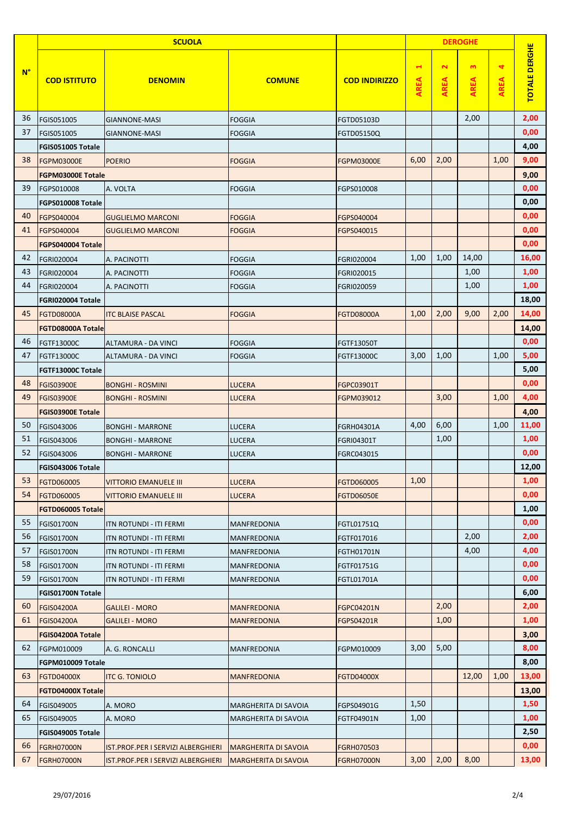|             | <b>SCUOLA</b><br><b>DEROGHE</b> |                                    |                             |                      |                                     |                                     |                             |                                     |                      |
|-------------|---------------------------------|------------------------------------|-----------------------------|----------------------|-------------------------------------|-------------------------------------|-----------------------------|-------------------------------------|----------------------|
| $N^{\circ}$ | <b>COD ISTITUTO</b>             | <b>DENOMIN</b>                     | <b>COMUNE</b>               | <b>COD INDIRIZZO</b> | $\blacktriangleleft$<br><b>AREA</b> | $\mathbf{\tilde{z}}$<br><b>AREA</b> | $\mathbf{a}$<br><b>AREA</b> | $\blacktriangleleft$<br><b>AREA</b> | <b>TOTALE DERGHE</b> |
| 36          | FGIS051005                      | <b>GIANNONE-MASI</b>               | <b>FOGGIA</b>               | FGTD05103D           |                                     |                                     | 2,00                        |                                     | 2,00                 |
| 37          | FGIS051005                      | <b>GIANNONE-MASI</b>               | <b>FOGGIA</b>               | FGTD05150Q           |                                     |                                     |                             |                                     | 0,00                 |
|             | FGIS051005 Totale               |                                    |                             |                      |                                     |                                     |                             |                                     | 4,00                 |
| 38          | <b>FGPM03000E</b>               | <b>POERIO</b>                      | <b>FOGGIA</b>               | <b>FGPM03000E</b>    | 6,00                                | 2,00                                |                             | 1,00                                | 9,00                 |
|             | <b>FGPM03000E Totale</b>        |                                    |                             |                      |                                     |                                     |                             |                                     | 9,00                 |
| 39          | FGPS010008                      | A. VOLTA                           | <b>FOGGIA</b>               | FGPS010008           |                                     |                                     |                             |                                     | 0,00                 |
|             | FGPS010008 Totale               |                                    |                             |                      |                                     |                                     |                             |                                     | 0,00                 |
| 40          | FGPS040004                      | <b>GUGLIELMO MARCONI</b>           | <b>FOGGIA</b>               | FGPS040004           |                                     |                                     |                             |                                     | 0,00                 |
| 41          | FGPS040004                      | <b>GUGLIELMO MARCONI</b>           | <b>FOGGIA</b>               | FGPS040015           |                                     |                                     |                             |                                     | 0,00                 |
|             | FGPS040004 Totale               |                                    |                             |                      |                                     |                                     |                             |                                     | 0,00                 |
| 42          | FGRI020004                      | A. PACINOTTI                       | <b>FOGGIA</b>               | FGRI020004           | 1,00                                | 1,00                                | 14,00                       |                                     | 16,00                |
| 43          | FGRI020004                      | A. PACINOTTI                       | <b>FOGGIA</b>               | FGRI020015           |                                     |                                     | 1,00                        |                                     | 1,00                 |
| 44          | FGRI020004                      | A. PACINOTTI                       | <b>FOGGIA</b>               | FGRI020059           |                                     |                                     | 1,00                        |                                     | 1,00                 |
|             | FGRI020004 Totale               |                                    |                             |                      |                                     |                                     |                             |                                     | 18,00                |
| 45          | <b>FGTD08000A</b>               | <b>ITC BLAISE PASCAL</b>           | <b>FOGGIA</b>               | <b>FGTD08000A</b>    | 1,00                                | 2,00                                | 9,00                        | 2,00                                | 14,00                |
|             | <b>FGTD08000A Totale</b>        |                                    |                             |                      |                                     |                                     |                             |                                     | 14,00                |
| 46          | FGTF13000C                      | ALTAMURA - DA VINCI                | <b>FOGGIA</b>               | FGTF13050T           |                                     |                                     |                             |                                     | 0,00                 |
| 47          | FGTF13000C                      | ALTAMURA - DA VINCI                | <b>FOGGIA</b>               | FGTF13000C           | 3,00                                | 1,00                                |                             | 1,00                                | 5,00                 |
|             | FGTF13000C Totale               |                                    |                             |                      |                                     |                                     |                             |                                     | 5,00                 |
| 48          | <b>FGIS03900E</b>               | <b>BONGHI - ROSMINI</b>            | <b>LUCERA</b>               | FGPC03901T           |                                     |                                     |                             |                                     | 0,00                 |
| 49          | <b>FGIS03900E</b>               | <b>BONGHI - ROSMINI</b>            | <b>LUCERA</b>               | FGPM039012           |                                     | 3,00                                |                             | 1,00                                | 4,00                 |
|             | <b>FGIS03900E Totale</b>        |                                    |                             |                      |                                     |                                     |                             |                                     | 4,00                 |
| 50          | FGIS043006                      | <b>BONGHI - MARRONE</b>            | <b>LUCERA</b>               | FGRH04301A           | 4,00                                | 6,00                                |                             | 1,00                                | 11,00                |
| 51          | FGIS043006                      | <b>BONGHI - MARRONE</b>            | LUCERA                      | <b>FGRI04301T</b>    |                                     | 1,00                                |                             |                                     | 1,00                 |
| 52          | FGIS043006                      | <b>BONGHI - MARRONE</b>            | LUCERA                      | FGRC043015           |                                     |                                     |                             |                                     | 0,00                 |
|             | FGIS043006 Totale               |                                    |                             |                      |                                     |                                     |                             |                                     | 12,00                |
| 53          | FGTD060005                      | <b>VITTORIO EMANUELE III</b>       | <b>LUCERA</b>               | FGTD060005           | 1,00                                |                                     |                             |                                     | 1,00                 |
| 54          | FGTD060005                      | <b>VITTORIO EMANUELE III</b>       | <b>LUCERA</b>               | <b>FGTD06050E</b>    |                                     |                                     |                             |                                     | 0,00                 |
|             | FGTD060005 Totale               |                                    |                             |                      |                                     |                                     |                             |                                     | 1,00                 |
| 55          | <b>FGIS01700N</b>               | ITN ROTUNDI - ITI FERMI            | <b>MANFREDONIA</b>          | FGTL01751Q           |                                     |                                     |                             |                                     | 0,00                 |
| 56          | <b>FGIS01700N</b>               | ITN ROTUNDI - ITI FERMI            | MANFREDONIA                 | FGTF017016           |                                     |                                     | 2,00                        |                                     | 2,00                 |
| 57          | FGIS01700N                      | ITN ROTUNDI - ITI FERMI            | MANFREDONIA                 | FGTH01701N           |                                     |                                     | 4,00                        |                                     | 4,00                 |
| 58          | <b>FGIS01700N</b>               | ITN ROTUNDI - ITI FERMI            | MANFREDONIA                 | FGTF01751G           |                                     |                                     |                             |                                     | 0,00                 |
| 59          | <b>FGIS01700N</b>               | <b>ITN ROTUNDI - ITI FERMI</b>     | MANFREDONIA                 | FGTL01701A           |                                     |                                     |                             |                                     | 0,00                 |
|             | <b>FGIS01700N Totale</b>        |                                    |                             |                      |                                     |                                     |                             |                                     | 6,00                 |
| 60          | <b>FGIS04200A</b>               | <b>GALILEI - MORO</b>              | <b>MANFREDONIA</b>          | <b>FGPC04201N</b>    |                                     | 2,00                                |                             |                                     | 2,00                 |
| 61          | <b>FGIS04200A</b>               | <b>GALILEI - MORO</b>              | <b>MANFREDONIA</b>          | FGPS04201R           |                                     | 1,00                                |                             |                                     | 1,00                 |
|             | FGIS04200A Totale               |                                    |                             |                      |                                     |                                     |                             |                                     | 3,00                 |
| 62          | FGPM010009                      | A. G. RONCALLI                     | MANFREDONIA                 | FGPM010009           | 3,00                                | 5,00                                |                             |                                     | 8,00                 |
|             | FGPM010009 Totale               |                                    |                             |                      |                                     |                                     |                             |                                     | 8,00                 |
| 63          | <b>FGTD04000X</b>               | <b>ITC G. TONIOLO</b>              | <b>MANFREDONIA</b>          | <b>FGTD04000X</b>    |                                     |                                     | 12,00                       | 1,00                                | 13,00                |
|             | <b>FGTD04000X Totale</b>        |                                    |                             |                      |                                     |                                     |                             |                                     | 13,00                |
| 64          | FGIS049005                      | A. MORO                            | MARGHERITA DI SAVOIA        | FGPS04901G           | 1,50                                |                                     |                             |                                     | 1,50                 |
| 65          | FGIS049005                      | A. MORO                            | MARGHERITA DI SAVOIA        | FGTF04901N           | 1,00                                |                                     |                             |                                     | 1,00                 |
|             | FGIS049005 Totale               |                                    |                             |                      |                                     |                                     |                             |                                     | 2,50                 |
| 66          | <b>FGRH07000N</b>               | IST.PROF.PER I SERVIZI ALBERGHIERI | <b>MARGHERITA DI SAVOIA</b> | FGRH070503           |                                     |                                     |                             |                                     | 0,00                 |
| 67          | <b>FGRH07000N</b>               | IST.PROF.PER I SERVIZI ALBERGHIERI | <b>MARGHERITA DI SAVOIA</b> | <b>FGRH07000N</b>    | 3,00                                | 2,00                                | 8,00                        |                                     | 13,00                |
|             |                                 |                                    |                             |                      |                                     |                                     |                             |                                     |                      |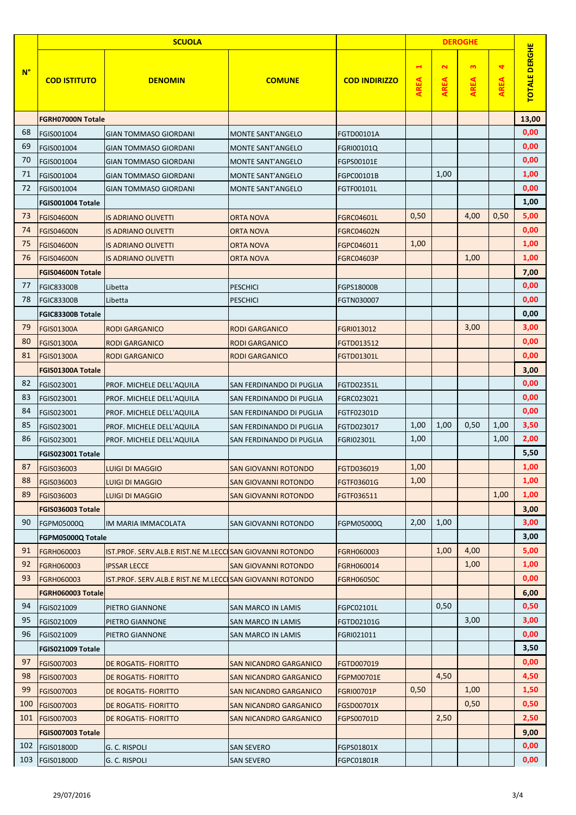|             |                          | <b>SCUOLA</b>                                            |                                 |                      | <b>DEROGHE</b>               |                                     |                             |                  |                      |
|-------------|--------------------------|----------------------------------------------------------|---------------------------------|----------------------|------------------------------|-------------------------------------|-----------------------------|------------------|----------------------|
| $N^{\circ}$ | <b>COD ISTITUTO</b>      | <b>DENOMIN</b>                                           | <b>COMUNE</b>                   | <b>COD INDIRIZZO</b> | $\blacktriangleleft$<br>AREA | $\mathbf{\tilde{z}}$<br><b>AREA</b> | $\mathbf{a}$<br><b>AREA</b> | 4<br><b>AREA</b> | <b>TOTALE DERGHE</b> |
|             | <b>FGRH07000N Totale</b> |                                                          |                                 |                      |                              |                                     |                             |                  | 13,00                |
| 68          | FGIS001004               | <b>GIAN TOMMASO GIORDANI</b>                             | <b>MONTE SANT'ANGELO</b>        | FGTD00101A           |                              |                                     |                             |                  | 0,00                 |
| 69          | FGIS001004               | <b>GIAN TOMMASO GIORDANI</b>                             | <b>MONTE SANT'ANGELO</b>        | FGRI00101Q           |                              |                                     |                             |                  | 0,00                 |
| 70          | FGIS001004               | <b>GIAN TOMMASO GIORDANI</b>                             | <b>MONTE SANT'ANGELO</b>        | FGPS00101E           |                              |                                     |                             |                  | 0,00                 |
| 71          | FGIS001004               | <b>GIAN TOMMASO GIORDANI</b>                             | <b>MONTE SANT'ANGELO</b>        | FGPC00101B           |                              | 1,00                                |                             |                  | 1,00                 |
| 72          | FGIS001004               | <b>GIAN TOMMASO GIORDANI</b>                             | <b>MONTE SANT'ANGELO</b>        | FGTF00101L           |                              |                                     |                             |                  | 0,00                 |
|             | FGIS001004 Totale        |                                                          |                                 |                      |                              |                                     |                             |                  | 1,00                 |
| 73          | <b>FGIS04600N</b>        | <b>IS ADRIANO OLIVETTI</b>                               | <b>ORTA NOVA</b>                | <b>FGRC04601L</b>    | 0,50                         |                                     | 4,00                        | 0,50             | 5,00                 |
| 74          | <b>FGIS04600N</b>        | <b>IS ADRIANO OLIVETTI</b>                               | <b>ORTA NOVA</b>                | <b>FGRC04602N</b>    |                              |                                     |                             |                  | 0,00                 |
| 75          | <b>FGIS04600N</b>        | <b>IS ADRIANO OLIVETTI</b>                               | <b>ORTA NOVA</b>                | FGPC046011           | 1,00                         |                                     |                             |                  | 1,00                 |
| 76          | <b>FGIS04600N</b>        | <b>IS ADRIANO OLIVETTI</b>                               | <b>ORTA NOVA</b>                | <b>FGRC04603P</b>    |                              |                                     | 1,00                        |                  | 1,00                 |
|             | <b>FGIS04600N Totale</b> |                                                          |                                 |                      |                              |                                     |                             |                  | 7,00                 |
| 77          | <b>FGIC83300B</b>        | Libetta                                                  | <b>PESCHICI</b>                 | <b>FGPS18000B</b>    |                              |                                     |                             |                  | 0,00                 |
| 78          | <b>FGIC83300B</b>        | Libetta                                                  | <b>PESCHICI</b>                 | FGTN030007           |                              |                                     |                             |                  | 0,00                 |
|             | FGIC83300B Totale        |                                                          |                                 |                      |                              |                                     |                             |                  | 0,00                 |
| 79          | <b>FGIS01300A</b>        | <b>RODI GARGANICO</b>                                    | <b>RODI GARGANICO</b>           | FGRI013012           |                              |                                     | 3,00                        |                  | 3,00                 |
| 80          | <b>FGIS01300A</b>        | <b>RODI GARGANICO</b>                                    | <b>RODI GARGANICO</b>           | FGTD013512           |                              |                                     |                             |                  | 0,00                 |
| 81          | <b>FGIS01300A</b>        | <b>RODI GARGANICO</b>                                    | <b>RODI GARGANICO</b>           | FGTD01301L           |                              |                                     |                             |                  | 0,00                 |
|             | FGIS01300A Totale        |                                                          |                                 |                      |                              |                                     |                             |                  | 3,00                 |
| 82          | FGIS023001               | PROF. MICHELE DELL'AQUILA                                | SAN FERDINANDO DI PUGLIA        | FGTD02351L           |                              |                                     |                             |                  | 0,00                 |
| 83          | FGIS023001               | PROF. MICHELE DELL'AQUILA                                | SAN FERDINANDO DI PUGLIA        | FGRC023021           |                              |                                     |                             |                  | 0,00                 |
| 84          | FGIS023001               | PROF. MICHELE DELL'AQUILA                                | SAN FERDINANDO DI PUGLIA        | FGTF02301D           |                              |                                     |                             |                  | 0,00                 |
| 85          | FGIS023001               | PROF. MICHELE DELL'AQUILA                                | <b>SAN FERDINANDO DI PUGLIA</b> | FGTD023017           | 1,00                         | 1,00                                | 0,50                        | 1,00             | 3,50                 |
| 86          | FGIS023001               | PROF. MICHELE DELL'AQUILA                                | SAN FERDINANDO DI PUGLIA        | FGRI02301L           | 1,00                         |                                     |                             | 1,00             | 2,00                 |
|             | FGIS023001 Totale        |                                                          |                                 |                      |                              |                                     |                             |                  | 5,50                 |
| 87          | FGIS036003               | <b>LUIGI DI MAGGIO</b>                                   | SAN GIOVANNI ROTONDO            | FGTD036019           | 1,00                         |                                     |                             |                  | 1,00                 |
| 88          | FGIS036003               | <b>LUIGI DI MAGGIO</b>                                   | <b>SAN GIOVANNI ROTONDO</b>     | FGTF03601G           | 1,00                         |                                     |                             |                  | 1,00                 |
| 89          | FGIS036003               | <b>LUIGI DI MAGGIO</b>                                   | <b>SAN GIOVANNI ROTONDO</b>     | FGTF036511           |                              |                                     |                             | 1,00             | 1,00                 |
|             | FGIS036003 Totale        |                                                          |                                 |                      |                              |                                     |                             |                  | 3,00                 |
| 90          | FGPM05000Q               | IM MARIA IMMACOLATA                                      | SAN GIOVANNI ROTONDO            | FGPM05000Q           | 2,00                         | 1,00                                |                             |                  | 3,00                 |
|             | FGPM05000Q Totale        |                                                          |                                 |                      |                              |                                     |                             |                  | 3,00                 |
| 91          | FGRH060003               | IST.PROF. SERV.ALB.E RIST.NE M.LECCISAN GIOVANNI ROTONDO |                                 | FGRH060003           |                              | 1,00                                | 4,00                        |                  | 5,00                 |
| 92          | FGRH060003               | <b>IPSSAR LECCE</b>                                      | <b>SAN GIOVANNI ROTONDO</b>     | FGRH060014           |                              |                                     | 1,00                        |                  | 1,00                 |
| 93          | FGRH060003               | IST.PROF. SERV.ALB.E RIST.NE M.LECCISAN GIOVANNI ROTONDO |                                 | <b>FGRH06050C</b>    |                              |                                     |                             |                  | 0,00                 |
|             | FGRH060003 Totale        |                                                          |                                 |                      |                              |                                     |                             |                  | 6,00                 |
| 94          | FGIS021009               | PIETRO GIANNONE                                          | <b>SAN MARCO IN LAMIS</b>       | FGPC02101L           |                              | 0,50                                |                             |                  | 0,50                 |
| 95          | FGIS021009               | PIETRO GIANNONE                                          | <b>SAN MARCO IN LAMIS</b>       | FGTD02101G           |                              |                                     | 3,00                        |                  | 3,00                 |
| 96          | FGIS021009               | PIETRO GIANNONE                                          | <b>SAN MARCO IN LAMIS</b>       | FGRI021011           |                              |                                     |                             |                  | 0,00                 |
|             | FGIS021009 Totale        |                                                          |                                 |                      |                              |                                     |                             |                  | 3,50                 |
| 97          | FGIS007003               | <b>DE ROGATIS- FIORITTO</b>                              | SAN NICANDRO GARGANICO          | FGTD007019           |                              |                                     |                             |                  | 0,00                 |
| 98          | FGIS007003               | <b>DE ROGATIS- FIORITTO</b>                              | <b>SAN NICANDRO GARGANICO</b>   | FGPM00701E           |                              | 4,50                                |                             |                  | 4,50                 |
| 99          | FGIS007003               | <b>DE ROGATIS- FIORITTO</b>                              | <b>SAN NICANDRO GARGANICO</b>   | <b>FGRI00701P</b>    | 0,50                         |                                     | 1,00                        |                  | 1,50                 |
| 100         | FGIS007003               | <b>DE ROGATIS- FIORITTO</b>                              | <b>SAN NICANDRO GARGANICO</b>   | FGSD00701X           |                              |                                     | 0,50                        |                  | 0,50                 |
| 101         | <b>FGIS007003</b>        | <b>DE ROGATIS- FIORITTO</b>                              | SAN NICANDRO GARGANICO          | FGPS00701D           |                              | 2,50                                |                             |                  | 2,50                 |
|             | FGIS007003 Totale        |                                                          |                                 |                      |                              |                                     |                             |                  | 9,00                 |
| 102         | <b>FGIS01800D</b>        | G. C. RISPOLI                                            | <b>SAN SEVERO</b>               | FGPS01801X           |                              |                                     |                             |                  | 0,00                 |
| 103         | FGIS01800D               | G. C. RISPOLI                                            | <b>SAN SEVERO</b>               | FGPC01801R           |                              |                                     |                             |                  | 0,00                 |